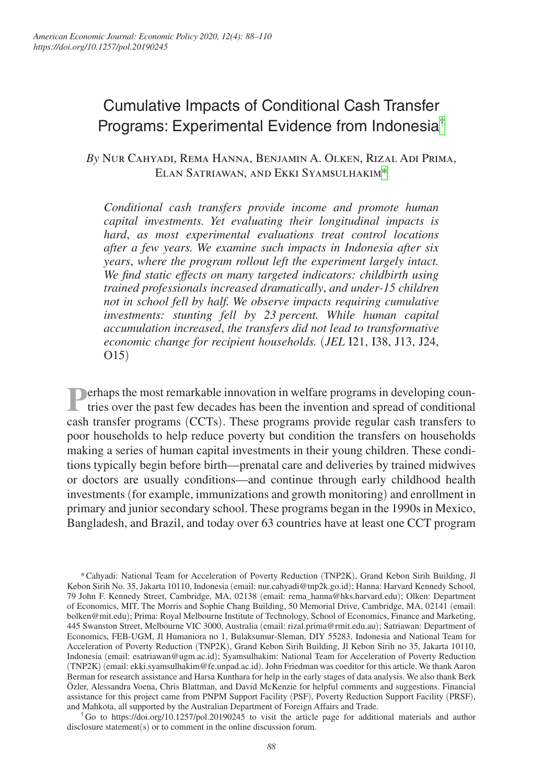# Cumulative Impacts of Conditional Cash Transfer Programs: Experimental Evidence from Indonesia[†](#page-0-0)

*By* Nur Cahyadi, Rema Hanna, Benjamin A. Olken, Rizal Adi Prima, Elan Satriawan, and Ekki Syamsulhakim[\\*](#page-0-1)

*Conditional cash transfers provide income and promote human capital investments. Yet evaluating their longitudinal impacts is hard*, *as most experimental evaluations treat control locations after a few years. We examine such impacts in Indonesia after six years*, *where the program rollout left the experiment largely intact. We find static effects on many targeted indicators: childbirth using trained professionals increased dramatically*, *and under-15 children not in school fell by half. We observe impacts requiring cumulative investments: stunting fell by 23 percent. While human capital accumulation increased*, *the transfers did not lead to transformative economic change for recipient households.* (*JEL* I21, I38, J13, J24, O15)

**Perhaps the most remarkable innovation in welfare programs in developing countries over the past few decades has been the invention and spread of conditional** cash transfer programs (CCTs). These programs provide regular cash transfers to poor households to help reduce poverty but condition the transfers on households making a series of human capital investments in their young children. These conditions typically begin before birth—prenatal care and deliveries by trained midwives or doctors are usually conditions—and continue through early childhood health investments (for example, immunizations and growth monitoring) and enrollment in primary and junior secondary school. These programs began in the 1990s in Mexico, Bangladesh, and Brazil, and today over 63 countries have at least one CCT program

<span id="page-0-1"></span>\*Cahyadi: National Team for Acceleration of Poverty Reduction (TNP2K), Grand Kebon Sirih Building, Jl Kebon Sirih No. 35, Jakarta 10110, Indonesia (email: [nur.cahyadi@tnp2k.go.id](mailto:nur.cahyadi@tnp2k.go.id)); Hanna: Harvard Kennedy School, 79 John F. Kennedy Street, Cambridge, MA, 02138 (email: [rema\\_hanna@hks.harvard.edu](mailto:rema_hanna@hks.harvard.edu)); Olken: Department of Economics, MIT, The Morris and Sophie Chang Building, 50 Memorial Drive, Cambridge, MA, 02141 (email: [bolken@mit.edu](mailto:bolken@mit.edu)); Prima: Royal Melbourne Institute of Technology, School of Economics, Finance and Marketing, 445 Swanston Street, Melbourne VIC 3000, Australia (email: [rizal.prima@rmit.edu.au](mailto:rizal.prima@rmit.edu.au)); Satriawan: Department of Economics, FEB-UGM, Jl Humaniora no 1, Bulaksumur-Sleman, DIY 55283, Indonesia and National Team for Acceleration of Poverty Reduction (TNP2K), Grand Kebon Sirih Building, Jl Kebon Sirih no 35, Jakarta 10110, Indonesia (email: [esatriawan@ugm.ac.id](mailto:esatriawan@ugm.ac.id)); Syamsulhakim: National Team for Acceleration of Poverty Reduction (TNP2K) (email: [ekki.syamsulhakim@fe.unpad.ac.id](mailto:ekki.syamsulhakim@fe.unpad.ac.id)). John Friedman was coeditor for this article. We thank Aaron Berman for research assistance and Harsa Kunthara for help in the early stages of data analysis. We also thank Berk Özler, Alessandra Voena, Chris Blattman, and David McKenzie for helpful comments and suggestions. Financial assistance for this project came from PNPM Support Facility (PSF), Poverty Reduction Support Facility (PRSF), and Mahkota, all supported by the Australian Department of Foreign Affairs and Trade.

<span id="page-0-0"></span><sup>†</sup>Go to <https://doi.org/10.1257/pol.20190245>to visit the article page for additional materials and author disclosure statement(s) or to comment in the online discussion forum.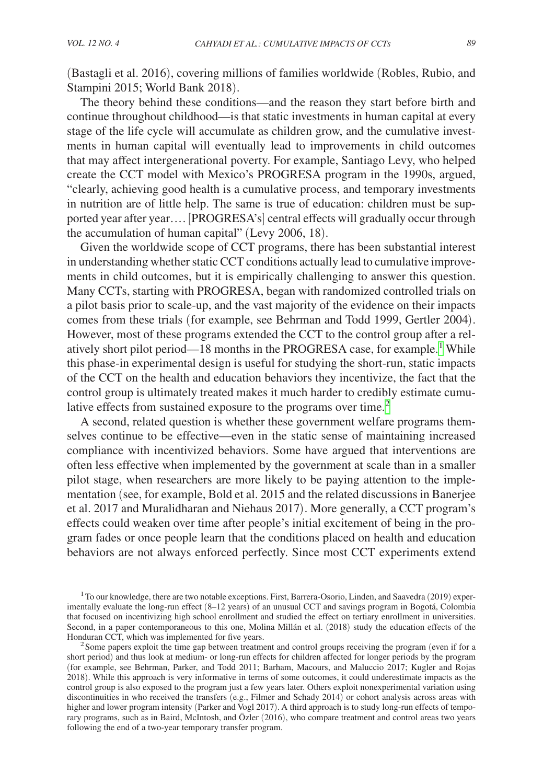(Bastagli et al. 2016), covering millions of families worldwide (Robles, Rubio, and Stampini 2015; World Bank 2018).

The theory behind these conditions—and the reason they start before birth and continue throughout childhood—is that static investments in human capital at every stage of the life cycle will accumulate as children grow, and the cumulative investments in human capital will eventually lead to improvements in child outcomes that may affect intergenerational poverty. For example, Santiago Levy, who helped create the CCT model with Mexico's PROGRESA program in the 1990s, argued, "clearly, achieving good health is a cumulative process, and temporary investments in nutrition are of little help. The same is true of education: children must be supported year after year…. [PROGRESA's] central effects will gradually occur through the accumulation of human capital" (Levy 2006, 18).

Given the worldwide scope of CCT programs, there has been substantial interest in understanding whether static CCT conditions actually lead to cumulative improvements in child outcomes, but it is empirically challenging to answer this question. Many CCTs, starting with PROGRESA, began with randomized controlled trials on a pilot basis prior to scale-up, and the vast majority of the evidence on their impacts comes from these trials (for example, see Behrman and Todd 1999, Gertler 2004). However, most of these programs extended the CCT to the control group after a rel-atively short pilot period—[1](#page-1-0)8 months in the PROGRESA case, for example.<sup>1</sup> While this phase-in experimental design is useful for studying the short-run, static impacts of the CCT on the health and education behaviors they incentivize, the fact that the control group is ultimately treated makes it much harder to credibly estimate cumu-lative effects from sustained exposure to the programs over time.<sup>[2](#page-1-1)</sup>

A second, related question is whether these government welfare programs themselves continue to be effective—even in the static sense of maintaining increased compliance with incentivized behaviors. Some have argued that interventions are often less effective when implemented by the government at scale than in a smaller pilot stage, when researchers are more likely to be paying attention to the implementation (see, for example, Bold et al. 2015 and the related discussions in Banerjee et al. 2017 and Muralidharan and Niehaus 2017). More generally, a CCT program's effects could weaken over time after people's initial excitement of being in the program fades or once people learn that the conditions placed on health and education behaviors are not always enforced perfectly. Since most CCT experiments extend

<span id="page-1-0"></span>1To our knowledge, there are two notable exceptions. First, Barrera-Osorio, Linden, and Saavedra (2019) experimentally evaluate the long-run effect (8–12 years) of an unusual CCT and savings program in Bogotá, Colombia that focused on incentivizing high school enrollment and studied the effect on tertiary enrollment in universities. Second, in a paper contemporaneous to this one, Molina Millán et al. (2018) study the education effects of the Honduran CCT, which was implemented for five years.

<span id="page-1-1"></span> $<sup>2</sup>$  Some papers exploit the time gap between treatment and control groups receiving the program (even if for a</sup> short period) and thus look at medium- or long-run effects for children affected for longer periods by the program (for example, see Behrman, Parker, and Todd 2011; Barham, Macours, and Maluccio 2017; Kugler and Rojas 2018). While this approach is very informative in terms of some outcomes, it could underestimate impacts as the control group is also exposed to the program just a few years later. Others exploit nonexperimental variation using discontinuities in who received the transfers (e.g., Filmer and Schady 2014) or cohort analysis across areas with higher and lower program intensity (Parker and Vogl 2017). A third approach is to study long-run effects of temporary programs, such as in Baird, McIntosh, and Özler (2016), who compare treatment and control areas two years following the end of a two-year temporary transfer program.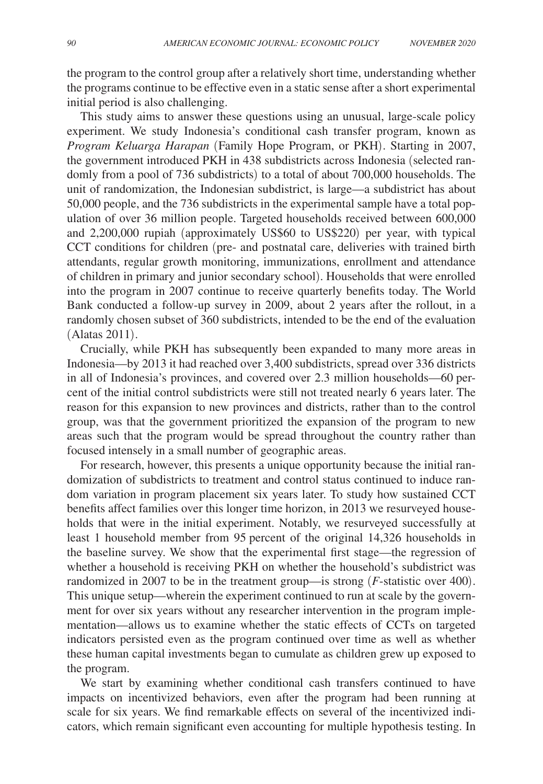the program to the control group after a relatively short time, understanding whether the programs continue to be effective even in a static sense after a short experimental initial period is also challenging.

This study aims to answer these questions using an unusual, large-scale policy experiment. We study Indonesia's conditional cash transfer program, known as *Program Keluarga Harapan* (Family Hope Program, or PKH). Starting in 2007, the government introduced PKH in 438 subdistricts across Indonesia (selected randomly from a pool of 736 subdistricts) to a total of about 700,000 households. The unit of randomization, the Indonesian subdistrict, is large—a subdistrict has about 50,000 people, and the 736 subdistricts in the experimental sample have a total population of over 36 million people. Targeted households received between 600,000 and 2,200,000 rupiah (approximately US\$60 to US\$220) per year, with typical CCT conditions for children (pre- and postnatal care, deliveries with trained birth attendants, regular growth monitoring, immunizations, enrollment and attendance of children in primary and junior secondary school). Households that were enrolled into the program in 2007 continue to receive quarterly benefits today. The World Bank conducted a follow-up survey in 2009, about 2 years after the rollout, in a randomly chosen subset of 360 subdistricts, intended to be the end of the evaluation (Alatas 2011).

Crucially, while PKH has subsequently been expanded to many more areas in Indonesia—by 2013 it had reached over 3,400 subdistricts, spread over 336 districts in all of Indonesia's provinces, and covered over 2.3 million households—60 percent of the initial control subdistricts were still not treated nearly 6 years later. The reason for this expansion to new provinces and districts, rather than to the control group, was that the government prioritized the expansion of the program to new areas such that the program would be spread throughout the country rather than focused intensely in a small number of geographic areas.

For research, however, this presents a unique opportunity because the initial randomization of subdistricts to treatment and control status continued to induce random variation in program placement six years later. To study how sustained CCT benefits affect families over this longer time horizon, in 2013 we resurveyed households that were in the initial experiment. Notably, we resurveyed successfully at least 1 household member from 95 percent of the original 14,326 households in the baseline survey. We show that the experimental first stage—the regression of whether a household is receiving PKH on whether the household's subdistrict was randomized in 2007 to be in the treatment group—is strong (*F*-statistic over 400). This unique setup—wherein the experiment continued to run at scale by the government for over six years without any researcher intervention in the program implementation—allows us to examine whether the static effects of CCTs on targeted indicators persisted even as the program continued over time as well as whether these human capital investments began to cumulate as children grew up exposed to the program.

We start by examining whether conditional cash transfers continued to have impacts on incentivized behaviors, even after the program had been running at scale for six years. We find remarkable effects on several of the incentivized indicators, which remain significant even accounting for multiple hypothesis testing. In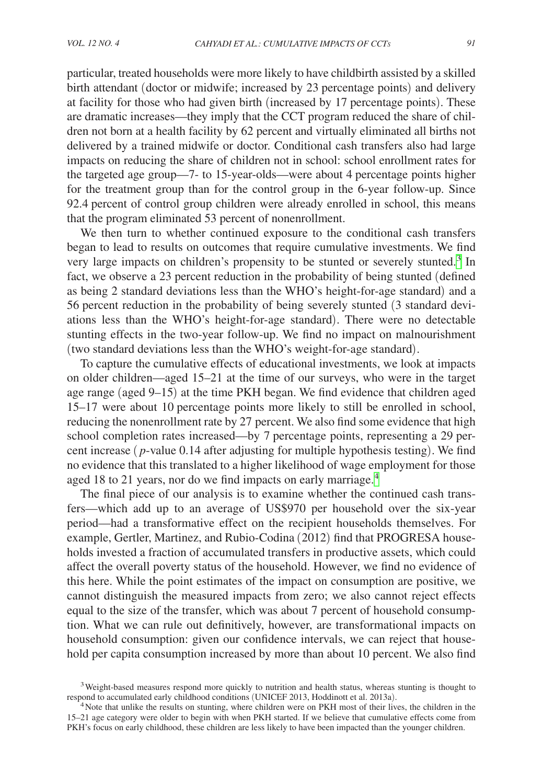particular, treated households were more likely to have childbirth assisted by a skilled birth attendant (doctor or midwife; increased by 23 percentage points) and delivery at facility for those who had given birth (increased by 17 percentage points). These are dramatic increases—they imply that the CCT program reduced the share of children not born at a health facility by 62 percent and virtually eliminated all births not delivered by a trained midwife or doctor. Conditional cash transfers also had large impacts on reducing the share of children not in school: school enrollment rates for the targeted age group—7- to 15-year-olds—were about 4 percentage points higher for the treatment group than for the control group in the 6-year follow-up. Since 92.4 percent of control group children were already enrolled in school, this means that the program eliminated 53 percent of nonenrollment.

We then turn to whether continued exposure to the conditional cash transfers began to lead to results on outcomes that require cumulative investments. We find very large impacts on children's propensity to be stunted or severely stunted.<sup>[3](#page-3-0)</sup> In fact, we observe a 23 percent reduction in the probability of being stunted (defined as being 2 standard deviations less than the WHO's height-for-age standard) and a 56 percent reduction in the probability of being severely stunted (3 standard deviations less than the WHO's height-for-age standard). There were no detectable stunting effects in the two-year follow-up. We find no impact on malnourishment (two standard deviations less than the WHO's weight-for-age standard).

To capture the cumulative effects of educational investments, we look at impacts on older children—aged 15–21 at the time of our surveys, who were in the target age range (aged 9–15) at the time PKH began. We find evidence that children aged 15–17 were about 10 percentage points more likely to still be enrolled in school, reducing the nonenrollment rate by 27 percent. We also find some evidence that high school completion rates increased—by 7 percentage points, representing a 29 percent increase ( *p*-value 0.14 after adjusting for multiple hypothesis testing). We find no evidence that this translated to a higher likelihood of wage employment for those aged 18 to 21 years, nor do we find impacts on early marriage.<sup>[4](#page-3-1)</sup>

The final piece of our analysis is to examine whether the continued cash transfers—which add up to an average of US\$970 per household over the six-year period—had a transformative effect on the recipient households themselves. For example, Gertler, Martinez, and Rubio-Codina (2012) find that PROGRESA households invested a fraction of accumulated transfers in productive assets, which could affect the overall poverty status of the household. However, we find no evidence of this here. While the point estimates of the impact on consumption are positive, we cannot distinguish the measured impacts from zero; we also cannot reject effects equal to the size of the transfer, which was about 7 percent of household consumption. What we can rule out definitively, however, are transformational impacts on household consumption: given our confidence intervals, we can reject that household per capita consumption increased by more than about 10 percent. We also find

<span id="page-3-0"></span> $3$  Weight-based measures respond more quickly to nutrition and health status, whereas stunting is thought to respond to accumulated early childhood conditions (UNICEF 2013, Hoddinott et al. 2013a).

<span id="page-3-1"></span><sup>&</sup>lt;sup>4</sup> Note that unlike the results on stunting, where children were on PKH most of their lives, the children in the 15–21 age category were older to begin with when PKH started. If we believe that cumulative effects come from PKH's focus on early childhood, these children are less likely to have been impacted than the younger children.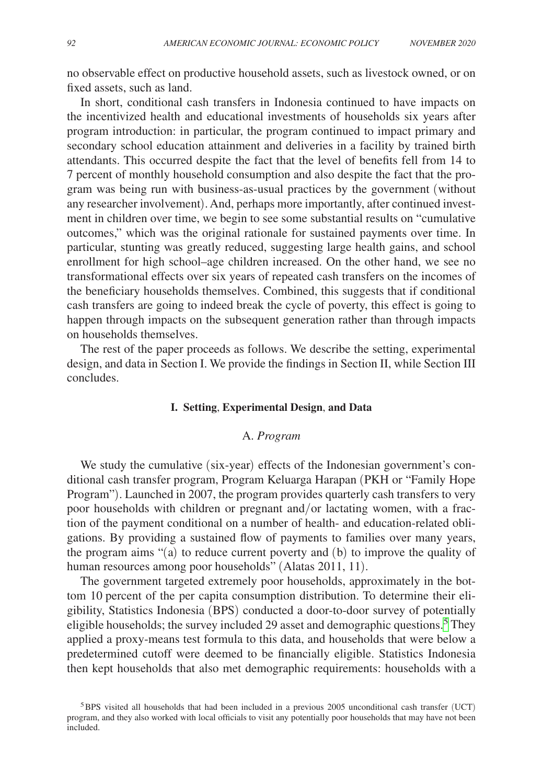no observable effect on productive household assets, such as livestock owned, or on fixed assets, such as land.

In short, conditional cash transfers in Indonesia continued to have impacts on the incentivized health and educational investments of households six years after program introduction: in particular, the program continued to impact primary and secondary school education attainment and deliveries in a facility by trained birth attendants. This occurred despite the fact that the level of benefits fell from 14 to 7 percent of monthly household consumption and also despite the fact that the program was being run with business-as-usual practices by the government (without any researcher involvement). And, perhaps more importantly, after continued investment in children over time, we begin to see some substantial results on "cumulative outcomes," which was the original rationale for sustained payments over time. In particular, stunting was greatly reduced, suggesting large health gains, and school enrollment for high school–age children increased. On the other hand, we see no transformational effects over six years of repeated cash transfers on the incomes of the beneficiary households themselves. Combined, this suggests that if conditional cash transfers are going to indeed break the cycle of poverty, this effect is going to happen through impacts on the subsequent generation rather than through impacts on households themselves.

The rest of the paper proceeds as follows. We describe the setting, experimental design, and data in Section I. We provide the findings in Section II, while Section III concludes.

#### **I. Setting**, **Experimental Design**, **and Data**

## A. *Program*

We study the cumulative (six-year) effects of the Indonesian government's conditional cash transfer program, Program Keluarga Harapan (PKH or "Family Hope Program"). Launched in 2007, the program provides quarterly cash transfers to very poor households with children or pregnant and/or lactating women, with a fraction of the payment conditional on a number of health- and education-related obligations. By providing a sustained flow of payments to families over many years, the program aims "(a) to reduce current poverty and (b) to improve the quality of human resources among poor households" (Alatas 2011, 11).

The government targeted extremely poor households, approximately in the bottom 10 percent of the per capita consumption distribution. To determine their eligibility, Statistics Indonesia (BPS) conducted a door-to-door survey of potentially eligible households; the survey included 29 asset and demographic questions.<sup>[5](#page-4-0)</sup> They applied a proxy-means test formula to this data, and households that were below a predetermined cutoff were deemed to be financially eligible. Statistics Indonesia then kept households that also met demographic requirements: households with a

<span id="page-4-0"></span><sup>5</sup>BPS visited all households that had been included in a previous 2005 unconditional cash transfer (UCT) program, and they also worked with local officials to visit any potentially poor households that may have not been included.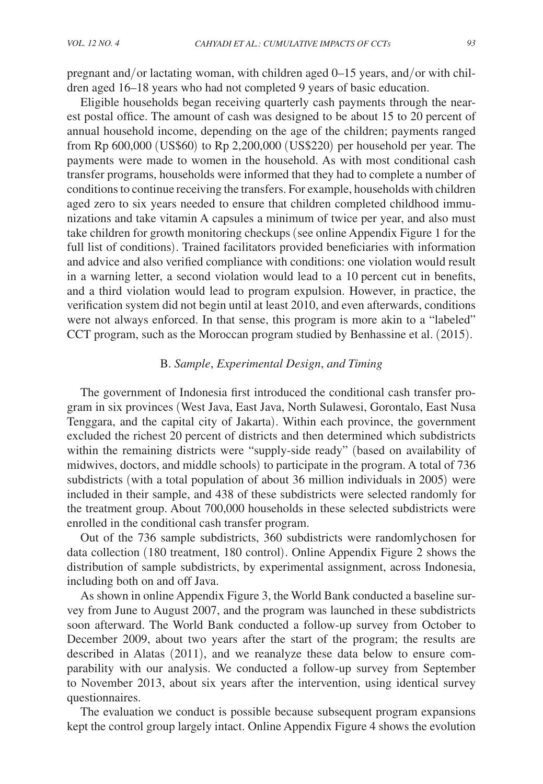pregnant and/or lactating woman, with children aged 0–15 years, and/or with children aged 16–18 years who had not completed 9 years of basic education.

Eligible households began receiving quarterly cash payments through the nearest postal office. The amount of cash was designed to be about 15 to 20 percent of annual household income, depending on the age of the children; payments ranged from Rp 600,000 (US\$60) to Rp 2,200,000 (US\$220) per household per year. The payments were made to women in the household. As with most conditional cash transfer programs, households were informed that they had to complete a number of conditions to continue receiving the transfers. For example, households with children aged zero to six years needed to ensure that children completed childhood immunizations and take vitamin A capsules a minimum of twice per year, and also must take children for growth monitoring checkups (see online Appendix Figure 1 for the full list of conditions). Trained facilitators provided beneficiaries with information and advice and also verified compliance with conditions: one violation would result in a warning letter, a second violation would lead to a 10 percent cut in benefits, and a third violation would lead to program expulsion. However, in practice, the verification system did not begin until at least 2010, and even afterwards, conditions were not always enforced. In that sense, this program is more akin to a "labeled" CCT program, such as the Moroccan program studied by Benhassine et al. (2015).

## B. *Sample*, *Experimental Design*, *and Timing*

The government of Indonesia first introduced the conditional cash transfer program in six provinces (West Java, East Java, North Sulawesi, Gorontalo, East Nusa Tenggara, and the capital city of Jakarta). Within each province, the government excluded the richest 20 percent of districts and then determined which subdistricts within the remaining districts were "supply-side ready" (based on availability of midwives, doctors, and middle schools) to participate in the program. A total of 736 subdistricts (with a total population of about 36 million individuals in 2005) were included in their sample, and 438 of these subdistricts were selected randomly for the treatment group. About 700,000 households in these selected subdistricts were enrolled in the conditional cash transfer program.

Out of the 736 sample subdistricts, 360 subdistricts were randomlychosen for data collection (180 treatment, 180 control). Online Appendix Figure 2 shows the distribution of sample subdistricts, by experimental assignment, across Indonesia, including both on and off Java.

As shown in online Appendix Figure 3, the World Bank conducted a baseline survey from June to August 2007, and the program was launched in these subdistricts soon afterward. The World Bank conducted a follow-up survey from October to December 2009, about two years after the start of the program; the results are described in Alatas (2011), and we reanalyze these data below to ensure comparability with our analysis. We conducted a follow-up survey from September to November 2013, about six years after the intervention, using identical survey questionnaires.

The evaluation we conduct is possible because subsequent program expansions kept the control group largely intact. Online Appendix Figure 4 shows the evolution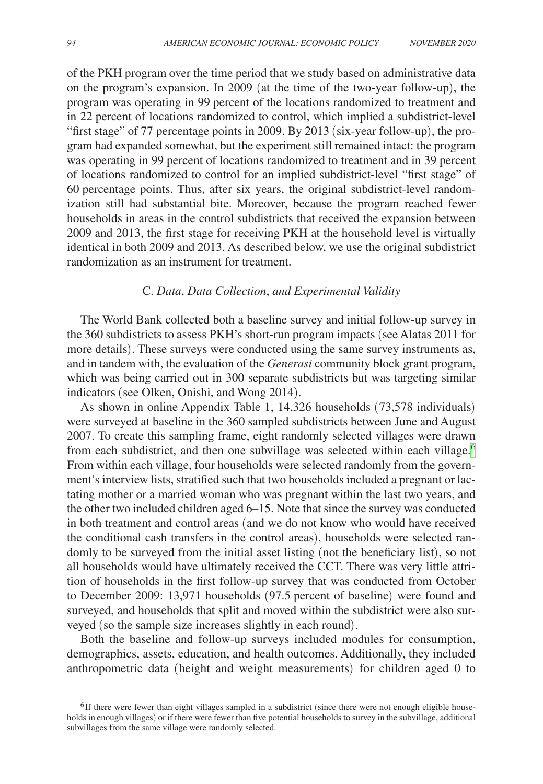of the PKH program over the time period that we study based on administrative data on the program's expansion. In 2009 (at the time of the two-year follow-up), the program was operating in 99 percent of the locations randomized to treatment and in 22 percent of locations randomized to control, which implied a subdistrict-level "first stage" of 77 percentage points in 2009. By 2013 (six-year follow-up), the program had expanded somewhat, but the experiment still remained intact: the program was operating in 99 percent of locations randomized to treatment and in 39 percent of locations randomized to control for an implied subdistrict-level "first stage" of 60 percentage points. Thus, after six years, the original subdistrict-level randomization still had substantial bite. Moreover, because the program reached fewer households in areas in the control subdistricts that received the expansion between 2009 and 2013, the first stage for receiving PKH at the household level is virtually identical in both 2009 and 2013. As described below, we use the original subdistrict randomization as an instrument for treatment.

# C. *Data*, *Data Collection*, *and Experimental Validity*

The World Bank collected both a baseline survey and initial follow-up survey in the 360 subdistricts to assess PKH's short-run program impacts (see Alatas 2011 for more details). These surveys were conducted using the same survey instruments as, and in tandem with, the evaluation of the *Generasi* community block grant program, which was being carried out in 300 separate subdistricts but was targeting similar indicators (see Olken, Onishi, and Wong 2014).

As shown in online Appendix Table 1, 14,326 households (73,578 individuals) were surveyed at baseline in the 360 sampled subdistricts between June and August 2007. To create this sampling frame, eight randomly selected villages were drawn from each subdistrict, and then one subvillage was selected within each village.<sup>[6](#page-6-0)</sup> From within each village, four households were selected randomly from the government's interview lists, stratified such that two households included a pregnant or lactating mother or a married woman who was pregnant within the last two years, and the other two included children aged 6–15. Note that since the survey was conducted in both treatment and control areas (and we do not know who would have received the conditional cash transfers in the control areas), households were selected randomly to be surveyed from the initial asset listing (not the beneficiary list), so not all households would have ultimately received the CCT. There was very little attrition of households in the first follow-up survey that was conducted from October to December 2009: 13,971 households (97.5 percent of baseline) were found and surveyed, and households that split and moved within the subdistrict were also surveyed (so the sample size increases slightly in each round).

Both the baseline and follow-up surveys included modules for consumption, demographics, assets, education, and health outcomes. Additionally, they included anthropometric data (height and weight measurements) for children aged 0 to

<span id="page-6-0"></span><sup>&</sup>lt;sup>6</sup>If there were fewer than eight villages sampled in a subdistrict (since there were not enough eligible households in enough villages) or if there were fewer than five potential households to survey in the subvillage, additional subvillages from the same village were randomly selected.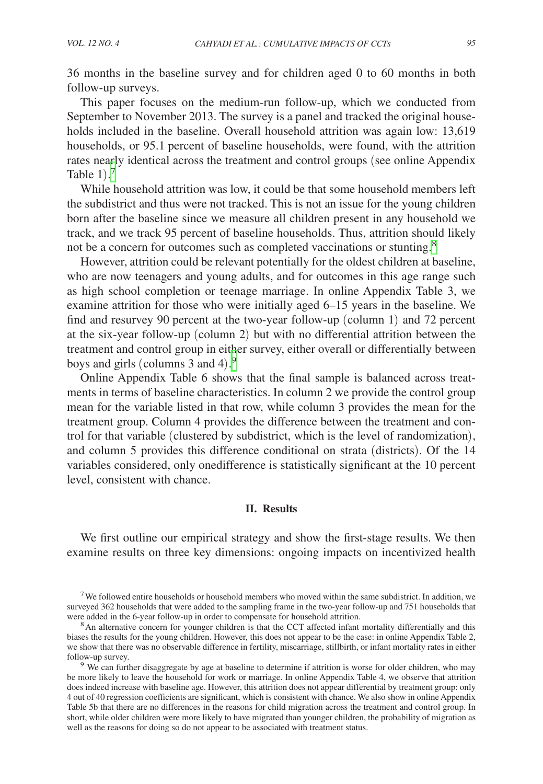36 months in the baseline survey and for children aged 0 to 60 months in both follow-up surveys.

This paper focuses on the medium-run follow-up, which we conducted from September to November 2013. The survey is a panel and tracked the original households included in the baseline. Overall household attrition was again low: 13,619 households, or 95.1 percent of baseline households, were found, with the attrition rates nearly identical across the treatment and control groups (see online Appendix Table  $1$ ).<sup>[7](#page-7-0)</sup>

While household attrition was low, it could be that some household members left the subdistrict and thus were not tracked. This is not an issue for the young children born after the baseline since we measure all children present in any household we track, and we track 95 percent of baseline households. Thus, attrition should likely not be a concern for outcomes such as completed vaccinations or stunting.<sup>[8](#page-7-1)</sup>

However, attrition could be relevant potentially for the oldest children at baseline, who are now teenagers and young adults, and for outcomes in this age range such as high school completion or teenage marriage. In online Appendix Table 3, we examine attrition for those who were initially aged 6–15 years in the baseline. We find and resurvey 90 percent at the two-year follow-up (column 1) and 72 percent at the six-year follow-up (column 2) but with no differential attrition between the treatment and control group in either survey, either overall or differentially between boys and girls (columns 3 and 4). [9](#page-7-2)

Online Appendix Table 6 shows that the final sample is balanced across treatments in terms of baseline characteristics. In column 2 we provide the control group mean for the variable listed in that row, while column 3 provides the mean for the treatment group. Column 4 provides the difference between the treatment and control for that variable (clustered by subdistrict, which is the level of randomization), and column 5 provides this difference conditional on strata (districts). Of the 14 variables considered, only onedifference is statistically significant at the 10 percent level, consistent with chance.

#### **II. Results**

We first outline our empirical strategy and show the first-stage results. We then examine results on three key dimensions: ongoing impacts on incentivized health

<span id="page-7-0"></span><sup>&</sup>lt;sup>7</sup>We followed entire households or household members who moved within the same subdistrict. In addition, we surveyed 362 households that were added to the sampling frame in the two-year follow-up and 751 households that were added in the 6-year follow-up in order to compensate for household attrition.

<span id="page-7-1"></span><sup>&</sup>lt;sup>8</sup>An alternative concern for younger children is that the CCT affected infant mortality differentially and this biases the results for the young children. However, this does not appear to be the case: in online Appendix Table 2, we show that there was no observable difference in fertility, miscarriage, stillbirth, or infant mortality rates in either

<span id="page-7-2"></span><sup>&</sup>lt;sup>9</sup> We can further disaggregate by age at baseline to determine if attrition is worse for older children, who may be more likely to leave the household for work or marriage. In online Appendix Table 4, we observe that attrition does indeed increase with baseline age. However, this attrition does not appear differential by treatment group: only 4 out of 40 regression coefficients are significant, which is consistent with chance. We also show in online Appendix Table 5b that there are no differences in the reasons for child migration across the treatment and control group. In short, while older children were more likely to have migrated than younger children, the probability of migration as well as the reasons for doing so do not appear to be associated with treatment status.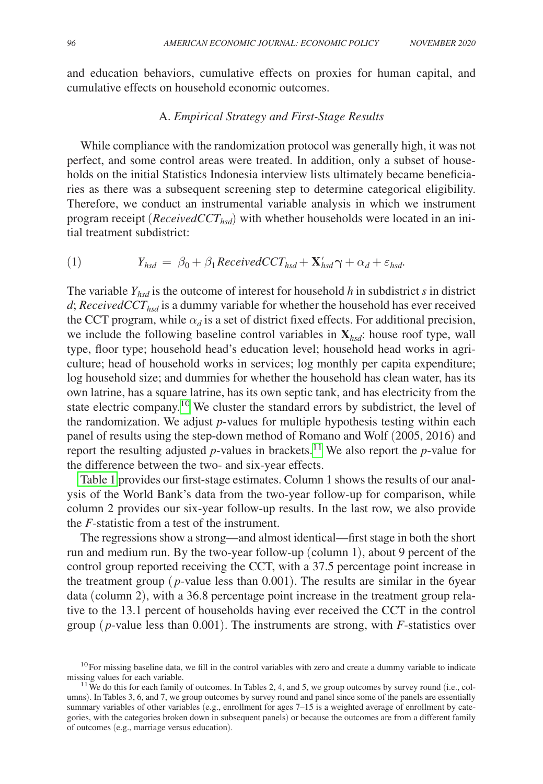and education behaviors, cumulative effects on proxies for human capital, and cumulative effects on household economic outcomes.

## A. *Empirical Strategy and First-Stage Results*

While compliance with the randomization protocol was generally high, it was not perfect, and some control areas were treated. In addition, only a subset of households on the initial Statistics Indonesia interview lists ultimately became beneficiaries as there was a subsequent screening step to determine categorical eligibility. Therefore, we conduct an instrumental variable analysis in which we instrument program receipt ( $\text{ReceivedCCT}_{\text{hsd}}$ ) with whether households were located in an initial treatment subdistrict:

(1) 
$$
Y_{hsd} = \beta_0 + \beta_1 \text{Received} CCT_{hsd} + \mathbf{X}_{hsd}' \gamma + \alpha_d + \varepsilon_{hsd}.
$$

The variable *Yhsd* is the outcome of interest for household *h* in subdistrict *s* in district  $d$ ; *ReceivedCCT<sub>hsd</sub>* is a dummy variable for whether the household has ever received the CCT program, while  $\alpha_d$  is a set of district fixed effects. For additional precision, we include the following baseline control variables in **X***hsd*: house roof type, wall type, floor type; household head's education level; household head works in agriculture; head of household works in services; log monthly per capita expenditure; log household size; and dummies for whether the household has clean water, has its own latrine, has a square latrine, has its own septic tank, and has electricity from the state electric company[.10](#page-8-0) We cluster the standard errors by subdistrict, the level of the randomization. We adjust *p*-values for multiple hypothesis testing within each panel of results using the step-down method of Romano and Wolf (2005, 2016) and report the resulting adjusted  $p$ -values in brackets.<sup>11</sup> We also report the  $p$ -value for the difference between the two- and six-year effects.

[Table 1](#page-9-0) provides our first-stage estimates. Column 1 shows the results of our analysis of the World Bank's data from the two-year follow-up for comparison, while column 2 provides our six-year follow-up results. In the last row, we also provide the *F-*statistic from a test of the instrument.

The regressions show a strong—and almost identical—first stage in both the short run and medium run. By the two-year follow-up (column 1), about 9 percent of the control group reported receiving the CCT, with a 37.5 percentage point increase in the treatment group  $(p$ -value less than  $0.001$ ). The results are similar in the 6year data (column 2), with a 36.8 percentage point increase in the treatment group relative to the 13.1 percent of households having ever received the CCT in the control group ( *p*-value less than 0.001). The instruments are strong, with *F*-statistics over

<span id="page-8-0"></span><sup>&</sup>lt;sup>10</sup>For missing baseline data, we fill in the control variables with zero and create a dummy variable to indicate missing values for each variable.

<span id="page-8-1"></span><sup>&</sup>lt;sup>11</sup> We do this for each family of outcomes. In Tables 2, 4, and 5, we group outcomes by survey round (i.e., columns). In Tables 3, 6, and 7, we group outcomes by survey round and panel since some of the panels are essentially summary variables of other variables (e.g., enrollment for ages 7–15 is a weighted average of enrollment by categories, with the categories broken down in subsequent panels) or because the outcomes are from a different family of outcomes (e.g., marriage versus education).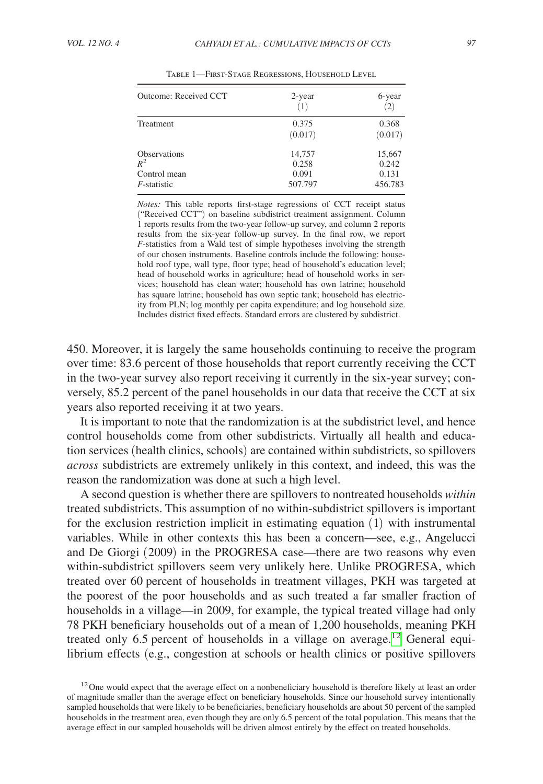<span id="page-9-0"></span>

| Outcome: Received CCT                                          | 2-year<br>(1)                       | 6-year<br>(2)                       |  |
|----------------------------------------------------------------|-------------------------------------|-------------------------------------|--|
| <b>Treatment</b>                                               | 0.375<br>(0.017)                    | 0.368<br>(0.017)                    |  |
| <b>Observations</b><br>$R^2$<br>Control mean<br>$F$ -statistic | 14,757<br>0.258<br>0.091<br>507.797 | 15,667<br>0.242<br>0.131<br>456.783 |  |

Table 1—First-Stage Regressions, Household Level

*Notes:* This table reports first-stage regressions of CCT receipt status ("Received CCT") on baseline subdistrict treatment assignment. Column 1 reports results from the two-year follow-up survey, and column 2 reports results from the six-year follow-up survey. In the final row, we report *F*-statistics from a Wald test of simple hypotheses involving the strength of our chosen instruments. Baseline controls include the following: household roof type, wall type, floor type; head of household's education level; head of household works in agriculture; head of household works in services; household has clean water; household has own latrine; household has square latrine; household has own septic tank; household has electricity from PLN; log monthly per capita expenditure; and log household size. Includes district fixed effects. Standard errors are clustered by subdistrict.

450. Moreover, it is largely the same households continuing to receive the program over time: 83.6 percent of those households that report currently receiving the CCT in the two-year survey also report receiving it currently in the six-year survey; conversely, 85.2 percent of the panel households in our data that receive the CCT at six years also reported receiving it at two years.

It is important to note that the randomization is at the subdistrict level, and hence control households come from other subdistricts. Virtually all health and education services (health clinics, schools) are contained within subdistricts, so spillovers *across* subdistricts are extremely unlikely in this context, and indeed, this was the reason the randomization was done at such a high level.

A second question is whether there are spillovers to nontreated households *within* treated subdistricts. This assumption of no within-subdistrict spillovers is important for the exclusion restriction implicit in estimating equation (1) with instrumental variables. While in other contexts this has been a concern—see, e.g., Angelucci and De Giorgi (2009) in the PROGRESA case—there are two reasons why even within-subdistrict spillovers seem very unlikely here. Unlike PROGRESA, which treated over 60 percent of households in treatment villages, PKH was targeted at the poorest of the poor households and as such treated a far smaller fraction of households in a village—in 2009, for example, the typical treated village had only 78 PKH beneficiary households out of a mean of 1,200 households, meaning PKH treated only 6.5 percent of households in a village on average.<sup>12</sup> General equilibrium effects (e.g., congestion at schools or health clinics or positive spillovers

<span id="page-9-1"></span><sup>&</sup>lt;sup>12</sup>One would expect that the average effect on a nonbeneficiary household is therefore likely at least an order of magnitude smaller than the average effect on beneficiary households. Since our household survey intentionally sampled households that were likely to be beneficiaries, beneficiary households are about 50 percent of the sampled households in the treatment area, even though they are only 6.5 percent of the total population. This means that the average effect in our sampled households will be driven almost entirely by the effect on treated households.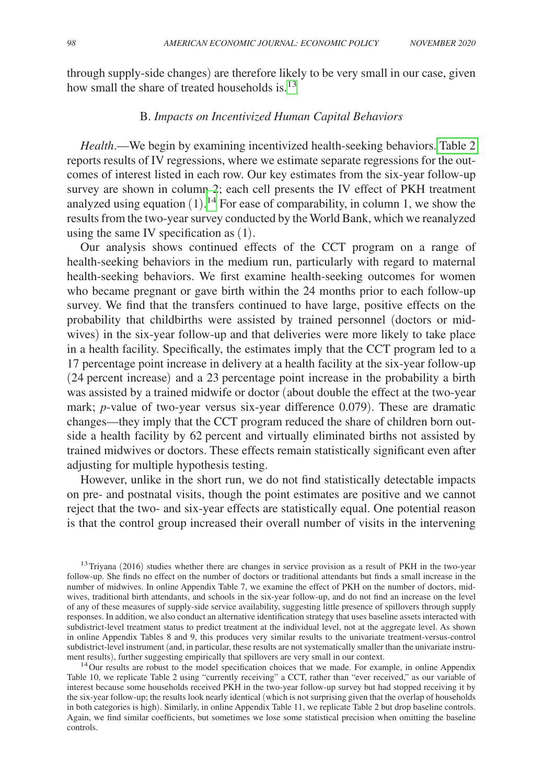through supply-side changes) are therefore likely to be very small in our case, given how small the share of treated households is. $13$ 

## B. *Impacts on Incentivized Human Capital Behaviors*

*Health*.—We begin by examining incentivized health-seeking behaviors[. Table 2](#page-11-0)  reports results of IV regressions, where we estimate separate regressions for the outcomes of interest listed in each row. Our key estimates from the six-year follow-up survey are shown in column 2; each cell presents the IV effect of PKH treatment analyzed using equation  $(1)$ .<sup>14</sup> For ease of comparability, in column 1, we show the results from the two-year survey conducted by the World Bank, which we reanalyzed using the same IV specification as (1).

Our analysis shows continued effects of the CCT program on a range of health-seeking behaviors in the medium run, particularly with regard to maternal health-seeking behaviors. We first examine health-seeking outcomes for women who became pregnant or gave birth within the 24 months prior to each follow-up survey. We find that the transfers continued to have large, positive effects on the probability that childbirths were assisted by trained personnel (doctors or midwives) in the six-year follow-up and that deliveries were more likely to take place in a health facility. Specifically, the estimates imply that the CCT program led to a 17 percentage point increase in delivery at a health facility at the six-year follow-up (24 percent increase) and a 23 percentage point increase in the probability a birth was assisted by a trained midwife or doctor (about double the effect at the two-year mark; *p*-value of two-year versus six-year difference 0.079). These are dramatic changes—they imply that the CCT program reduced the share of children born outside a health facility by 62 percent and virtually eliminated births not assisted by trained midwives or doctors. These effects remain statistically significant even after adjusting for multiple hypothesis testing.

However, unlike in the short run, we do not find statistically detectable impacts on pre- and postnatal visits, though the point estimates are positive and we cannot reject that the two- and six-year effects are statistically equal. One potential reason is that the control group increased their overall number of visits in the intervening

<span id="page-10-0"></span><sup>13</sup>Triyana (2016) studies whether there are changes in service provision as a result of PKH in the two-year follow-up. She finds no effect on the number of doctors or traditional attendants but finds a small increase in the number of midwives. In online Appendix Table 7, we examine the effect of PKH on the number of doctors, midwives, traditional birth attendants, and schools in the six-year follow-up, and do not find an increase on the level of any of these measures of supply-side service availability, suggesting little presence of spillovers through supply responses. In addition, we also conduct an alternative identification strategy that uses baseline assets interacted with subdistrict-level treatment status to predict treatment at the individual level, not at the aggregate level. As shown in online Appendix Tables 8 and 9, this produces very similar results to the univariate treatment-versus-control subdistrict-level instrument (and, in particular, these results are not systematically smaller than the univariate instru-<br>ment results), further suggesting empirically that spillovers are very small in our context.

<span id="page-10-1"></span><sup>14</sup>Our results are robust to the model specification choices that we made. For example, in online Appendix Table 10, we replicate Table 2 using "currently receiving" a CCT, rather than "ever received," as our variable of interest because some households received PKH in the two-year follow-up survey but had stopped receiving it by the six-year follow-up; the results look nearly identical (which is not surprising given that the overlap of households in both categories is high). Similarly, in online Appendix Table 11, we replicate Table 2 but drop baseline controls. Again, we find similar coefficients, but sometimes we lose some statistical precision when omitting the baseline controls.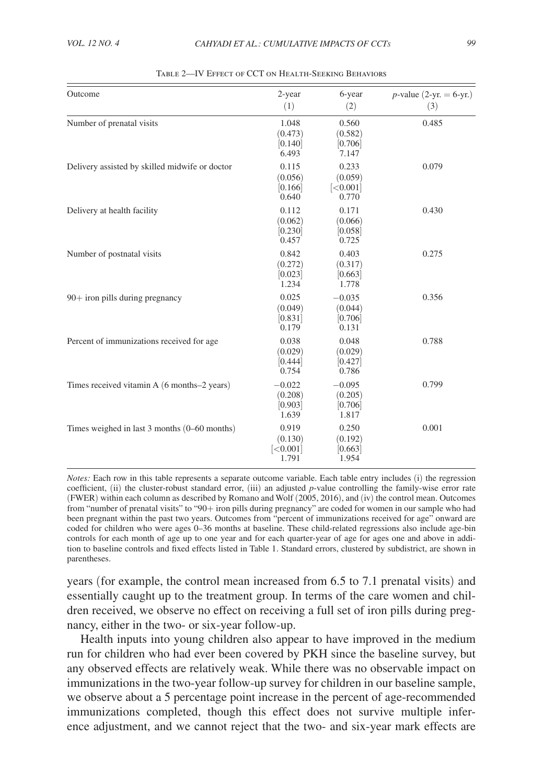<span id="page-11-0"></span>

| Outcome                                        | 2-year<br>(1)                           | 6-year<br>(2)                           | <i>p</i> -value (2-yr. = 6-yr.)<br>(3) |
|------------------------------------------------|-----------------------------------------|-----------------------------------------|----------------------------------------|
| Number of prenatal visits                      | 1.048<br>(0.473)<br>[0.140]<br>6.493    | 0.560<br>(0.582)<br>[0.706]<br>7.147    | 0.485                                  |
| Delivery assisted by skilled midwife or doctor | 0.115<br>(0.056)<br>[0.166]<br>0.640    | 0.233<br>(0.059)<br>[<0.001]<br>0.770   | 0.079                                  |
| Delivery at health facility                    | 0.112<br>(0.062)<br>[0.230]<br>0.457    | 0.171<br>(0.066)<br>[0.058]<br>0.725    | 0.430                                  |
| Number of postnatal visits                     | 0.842<br>(0.272)<br>[0.023]<br>1.234    | 0.403<br>(0.317)<br>[0.663]<br>1.778    | 0.275                                  |
| 90+ iron pills during pregnancy                | 0.025<br>(0.049)<br>[0.831]<br>0.179    | $-0.035$<br>(0.044)<br>[0.706]<br>0.131 | 0.356                                  |
| Percent of immunizations received for age      | 0.038<br>(0.029)<br>[0.444]<br>0.754    | 0.048<br>(0.029)<br>[0.427]<br>0.786    | 0.788                                  |
| Times received vitamin A (6 months–2 years)    | $-0.022$<br>(0.208)<br>[0.903]<br>1.639 | $-0.095$<br>(0.205)<br>[0.706]<br>1.817 | 0.799                                  |
| Times weighed in last 3 months (0–60 months)   | 0.919<br>(0.130)<br>[<]0.001]<br>1.791  | 0.250<br>(0.192)<br>[0.663]<br>1.954    | 0.001                                  |

Table 2—IV Effect of CCT on Health-Seeking Behaviors

*Notes:* Each row in this table represents a separate outcome variable. Each table entry includes (i) the regression coefficient, (ii) the cluster-robust standard error, (iii) an adjusted *p*-value controlling the family-wise error rate (FWER) within each column as described by Romano and Wolf (2005, 2016), and (iv) the control mean. Outcomes from "number of prenatal visits" to "90+ iron pills during pregnancy" are coded for women in our sample who had been pregnant within the past two years. Outcomes from "percent of immunizations received for age" onward are coded for children who were ages 0–36 months at baseline. These child-related regressions also include age-bin controls for each month of age up to one year and for each quarter-year of age for ages one and above in addition to baseline controls and fixed effects listed in Table 1. Standard errors, clustered by subdistrict, are shown in parentheses.

years (for example, the control mean increased from 6.5 to 7.1 prenatal visits) and essentially caught up to the treatment group. In terms of the care women and children received, we observe no effect on receiving a full set of iron pills during pregnancy, either in the two- or six-year follow-up.

Health inputs into young children also appear to have improved in the medium run for children who had ever been covered by PKH since the baseline survey, but any observed effects are relatively weak. While there was no observable impact on immunizations in the two-year follow-up survey for children in our baseline sample, we observe about a 5 percentage point increase in the percent of age-recommended immunizations completed, though this effect does not survive multiple inference adjustment, and we cannot reject that the two- and six-year mark effects are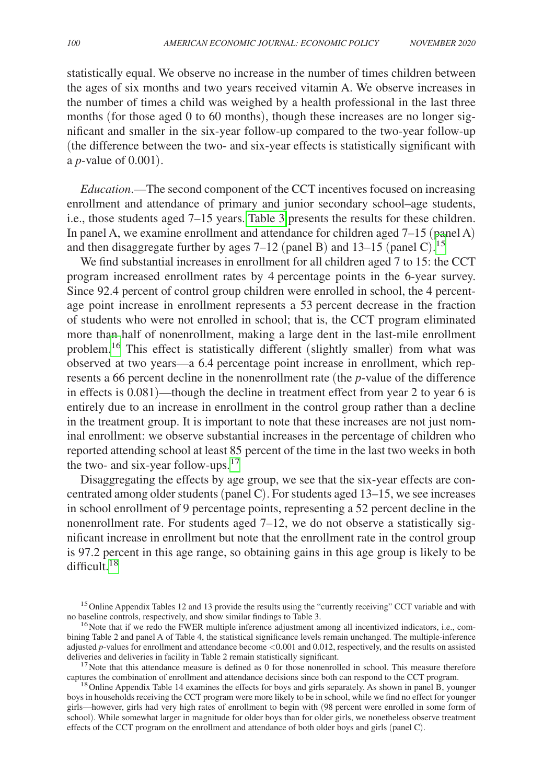statistically equal. We observe no increase in the number of times children between the ages of six months and two years received vitamin A. We observe increases in the number of times a child was weighed by a health professional in the last three months (for those aged 0 to 60 months), though these increases are no longer significant and smaller in the six-year follow-up compared to the two-year follow-up (the difference between the two- and six-year effects is statistically significant with a *p*-value of 0.001).

*Education*.—The second component of the CCT incentives focused on increasing enrollment and attendance of primary and junior secondary school–age students, i.e., those students aged 7–15 years. [Table](#page-13-0) 3 presents the results for these children. In panel A, we examine enrollment and attendance for children aged 7–15 (panel A) and then disaggregate further by ages  $7-12$  (panel B) and  $13-15$  $13-15$  (panel C).<sup>15</sup>

We find substantial increases in enrollment for all children aged 7 to 15: the CCT program increased enrollment rates by 4 percentage points in the 6-year survey. Since 92.4 percent of control group children were enrolled in school, the 4 percentage point increase in enrollment represents a 53 percent decrease in the fraction of students who were not enrolled in school; that is, the CCT program eliminated more than half of nonenrollment, making a large dent in the last-mile enrollment problem.<sup>[16](#page-12-1)</sup> This effect is statistically different (slightly smaller) from what was observed at two years—a 6.4 percentage point increase in enrollment, which represents a 66 percent decline in the nonenrollment rate (the *p*-value of the difference in effects is 0.081)—though the decline in treatment effect from year 2 to year 6 is entirely due to an increase in enrollment in the control group rather than a decline in the treatment group. It is important to note that these increases are not just nominal enrollment: we observe substantial increases in the percentage of children who reported attending school at least 85 percent of the time in the last two weeks in both the two- and six-year follow-ups.<sup>[17](#page-12-2)</sup>

Disaggregating the effects by age group, we see that the six-year effects are concentrated among older students (panel C). For students aged 13–15, we see increases in school enrollment of 9 percentage points, representing a 52 percent decline in the nonenrollment rate. For students aged 7–12, we do not observe a statistically significant increase in enrollment but note that the enrollment rate in the control group is 97.2 percent in this age range, so obtaining gains in this age group is likely to be difficult  $^{18}$  $^{18}$  $^{18}$ 

<span id="page-12-0"></span><sup>&</sup>lt;sup>15</sup> Online Appendix Tables 12 and 13 provide the results using the "currently receiving" CCT variable and with no baseline controls, respectively, and show similar findings to Table 3.

<span id="page-12-1"></span> $16$  Note that if we redo the FWER multiple inference adjustment among all incentivized indicators, i.e., combining Table 2 and panel A of Table 4, the statistical significance levels remain unchanged. The multiple-inference adjusted *p*-values for enrollment and attendance become <0.001 and 0.012, respectively, and the results on assisted deliveries and deliveries in facility in Table 2 remain statistically significant.

<span id="page-12-2"></span> $17$  Note that this attendance measure is defined as 0 for those nonenrolled in school. This measure therefore captures the combination of enrollment and attendance decisions since both can respond to the CCT program.

<span id="page-12-3"></span><sup>&</sup>lt;sup>18</sup> Online Appendix Table 14 examines the effects for boys and girls separately. As shown in panel B, younger boys in households receiving the CCT program were more likely to be in school, while we find no effect for younger girls—however, girls had very high rates of enrollment to begin with (98 percent were enrolled in some form of school). While somewhat larger in magnitude for older boys than for older girls, we nonetheless observe treatment effects of the CCT program on the enrollment and attendance of both older boys and girls (panel C).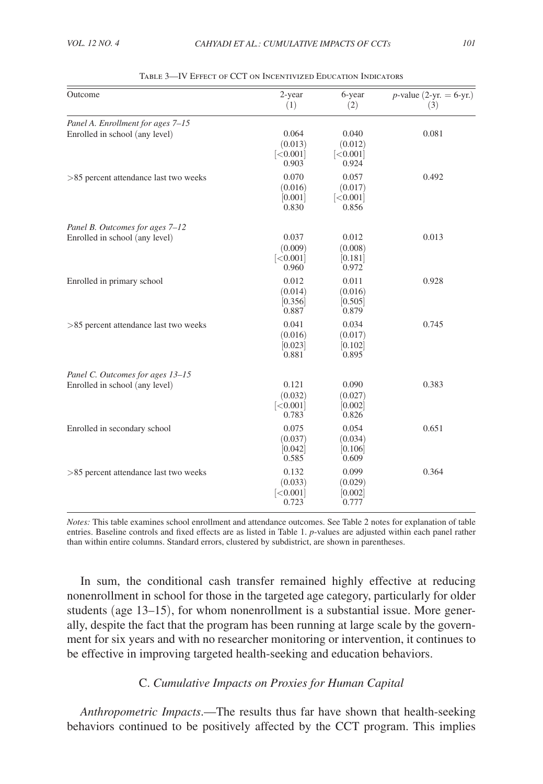<span id="page-13-0"></span>

| Outcome                                                             | 2-year<br>(1)                         | 6-year<br>(2)                          | <i>p</i> -value (2-yr. = 6-yr.)<br>(3) |
|---------------------------------------------------------------------|---------------------------------------|----------------------------------------|----------------------------------------|
| Panel A. Enrollment for ages 7-15<br>Enrolled in school (any level) | 0.064<br>(0.013)<br>[<0.001]<br>0.903 | 0.040<br>(0.012)<br>[<,0.001]<br>0.924 | 0.081                                  |
| >85 percent attendance last two weeks                               | 0.070<br>(0.016)<br>[0.001]<br>0.830  | 0.057<br>(0.017)<br>[<0.001]<br>0.856  | 0.492                                  |
| Panel B. Outcomes for ages 7-12<br>Enrolled in school (any level)   | 0.037<br>(0.009)<br>[<0.001]<br>0.960 | 0.012<br>(0.008)<br>[0.181]<br>0.972   | 0.013                                  |
| Enrolled in primary school                                          | 0.012<br>(0.014)<br>[0.356]<br>0.887  | 0.011<br>(0.016)<br>[0.505]<br>0.879   | 0.928                                  |
| >85 percent attendance last two weeks                               | 0.041<br>(0.016)<br>[0.023]<br>0.881  | 0.034<br>(0.017)<br>[0.102]<br>0.895   | 0.745                                  |
| Panel C. Outcomes for ages 13-15<br>Enrolled in school (any level)  | 0.121<br>(0.032)<br>[<0.001]<br>0.783 | 0.090<br>(0.027)<br>[0.002]<br>0.826   | 0.383                                  |
| Enrolled in secondary school                                        | 0.075<br>(0.037)<br>[0.042]<br>0.585  | 0.054<br>(0.034)<br>[0.106]<br>0.609   | 0.651                                  |
| >85 percent attendance last two weeks                               | 0.132<br>(0.033)<br>[<0.001]<br>0.723 | 0.099<br>(0.029)<br>[0.002]<br>0.777   | 0.364                                  |

| TABLE 3—IV EFFECT OF CCT ON INCENTIVIZED EDUCATION INDICATORS |  |  |  |  |
|---------------------------------------------------------------|--|--|--|--|
|---------------------------------------------------------------|--|--|--|--|

*Notes:* This table examines school enrollment and attendance outcomes. See Table 2 notes for explanation of table entries. Baseline controls and fixed effects are as listed in Table 1. *p*-values are adjusted within each panel rather than within entire columns. Standard errors, clustered by subdistrict, are shown in parentheses.

In sum, the conditional cash transfer remained highly effective at reducing nonenrollment in school for those in the targeted age category, particularly for older students (age 13–15), for whom nonenrollment is a substantial issue. More generally, despite the fact that the program has been running at large scale by the government for six years and with no researcher monitoring or intervention, it continues to be effective in improving targeted health-seeking and education behaviors.

# C. *Cumulative Impacts on Proxies for Human Capital*

*Anthropometric Impacts*.—The results thus far have shown that health-seeking behaviors continued to be positively affected by the CCT program. This implies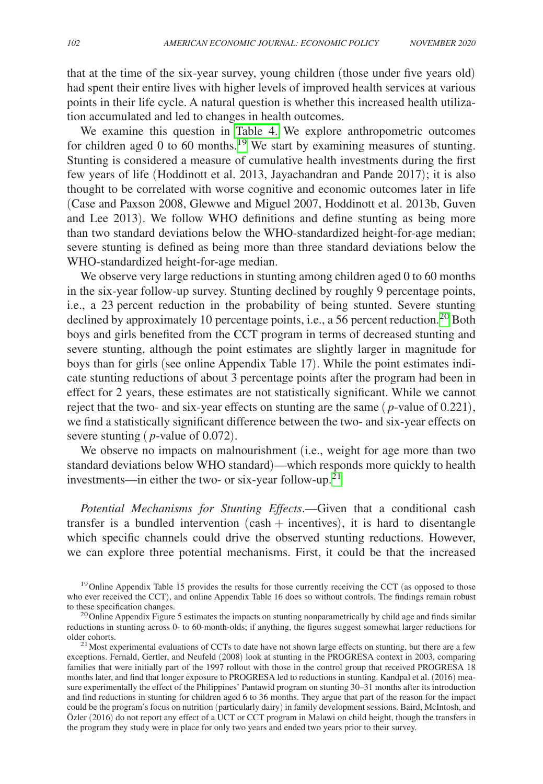that at the time of the six-year survey, young children (those under five years old) had spent their entire lives with higher levels of improved health services at various points in their life cycle. A natural question is whether this increased health utilization accumulated and led to changes in health outcomes.

We examine this question in Table 4. We explore anthropometric outcomes for children aged 0 to 60 months.<sup>19</sup> We start by examining measures of stunting. Stunting is considered a measure of cumulative health investments during the first few years of life (Hoddinott et al. 2013, Jayachandran and Pande 2017); it is also thought to be correlated with worse cognitive and economic outcomes later in life (Case and Paxson 2008, Glewwe and Miguel 2007, Hoddinott et al. 2013b, Guven and Lee 2013). We follow WHO definitions and define stunting as being more than two standard deviations below the WHO-standardized height-for-age median; severe stunting is defined as being more than three standard deviations below the WHO-standardized height-for-age median.

We observe very large reductions in stunting among children aged 0 to 60 months in the six-year follow-up survey. Stunting declined by roughly 9 percentage points, i.e., a 23 percent reduction in the probability of being stunted. Severe stunting declined by approximately 10 percentage points, i.e., a 56 percent reduction.<sup>[20](#page-14-1)</sup> Both boys and girls benefited from the CCT program in terms of decreased stunting and severe stunting, although the point estimates are slightly larger in magnitude for boys than for girls (see online Appendix Table 17). While the point estimates indicate stunting reductions of about 3 percentage points after the program had been in effect for 2 years, these estimates are not statistically significant. While we cannot reject that the two- and six-year effects on stunting are the same ( *p*-value of 0.221), we find a statistically significant difference between the two- and six-year effects on severe stunting (*p*-value of 0.072).

We observe no impacts on malnourishment (i.e., weight for age more than two standard deviations below WHO standard)—which responds more quickly to health investments—in either the two- or six-year follow-up.<sup>21</sup>

*Potential Mechanisms for Stunting Effects*.—Given that a conditional cash transfer is a bundled intervention  $(cash + incentives)$ , it is hard to disentangle which specific channels could drive the observed stunting reductions. However, we can explore three potential mechanisms. First, it could be that the increased

<span id="page-14-0"></span><sup>&</sup>lt;sup>19</sup> Online Appendix Table 15 provides the results for those currently receiving the CCT (as opposed to those who ever received the CCT), and online Appendix Table 16 does so without controls. The findings remain robust to these specification changes.

<span id="page-14-1"></span><sup>&</sup>lt;sup>20</sup> Online Appendix Figure 5 estimates the impacts on stunting nonparametrically by child age and finds similar reductions in stunting across 0- to 60-month-olds; if anything, the figures suggest somewhat larger reductions for older cohorts.<br><sup>21</sup>Most experimental evaluations of CCTs to date have not shown large effects on stunting, but there are a few

<span id="page-14-2"></span>exceptions. Fernald, Gertler, and Neufeld (2008) look at stunting in the PROGRESA context in 2003, comparing families that were initially part of the 1997 rollout with those in the control group that received PROGRESA 18 months later, and find that longer exposure to PROGRESA led to reductions in stunting. Kandpal et al. (2016) measure experimentally the effect of the Philippines' Pantawid program on stunting 30–31 months after its introduction and find reductions in stunting for children aged 6 to 36 months. They argue that part of the reason for the impact could be the program's focus on nutrition (particularly dairy) in family development sessions. Baird, McIntosh, and Özler (2016) do not report any effect of a UCT or CCT program in Malawi on child height, though the transfers in the program they study were in place for only two years and ended two years prior to their survey.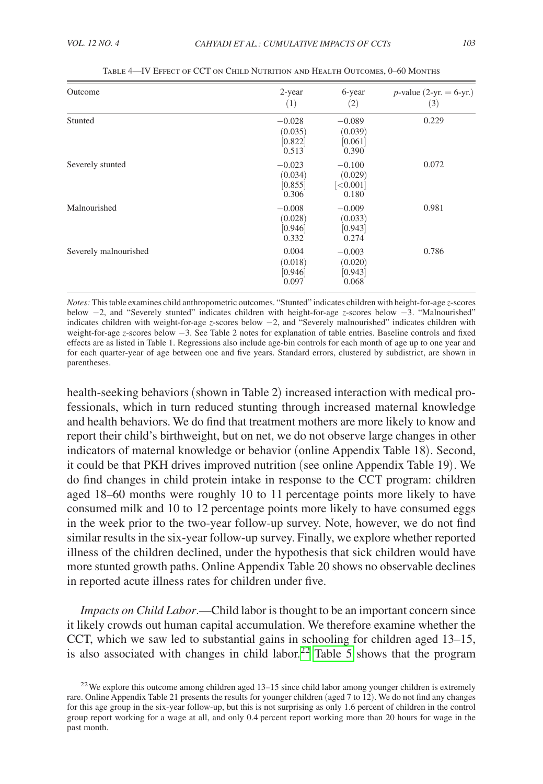<span id="page-15-0"></span>

| Outcome               | 2-year<br>(1)                           | 6-year<br>(2)                             | <i>p</i> -value (2-yr. = 6-yr.)<br>(3) |
|-----------------------|-----------------------------------------|-------------------------------------------|----------------------------------------|
| Stunted               | $-0.028$<br>(0.035)<br>[0.822]<br>0.513 | $-0.089$<br>(0.039)<br>[0.061]<br>0.390   | 0.229                                  |
| Severely stunted      | $-0.023$<br>(0.034)<br>[0.855]<br>0.306 | $-0.100$<br>(0.029)<br>[<]0.001]<br>0.180 | 0.072                                  |
| Malnourished          | $-0.008$<br>(0.028)<br>[0.946]<br>0.332 | $-0.009$<br>(0.033)<br>[0.943]<br>0.274   | 0.981                                  |
| Severely malnourished | 0.004<br>(0.018)<br>[0.946]<br>0.097    | $-0.003$<br>(0.020)<br>[0.943]<br>0.068   | 0.786                                  |

Table 4—IV Effect of CCT on Child Nutrition and Health Outcomes, 0–60 Months

*Notes:* This table examines child anthropometric outcomes. "Stunted" indicates children with height-for-age *z*-scores below −2, and "Severely stunted" indicates children with height-for-age *z*-scores below −3. "Malnourished" indicates children with weight-for-age *z*-scores below −2, and "Severely malnourished" indicates children with weight-for-age *z*-scores below −3. See Table 2 notes for explanation of table entries. Baseline controls and fixed effects are as listed in Table 1. Regressions also include age-bin controls for each month of age up to one year and for each quarter-year of age between one and five years. Standard errors, clustered by subdistrict, are shown in parentheses.

health-seeking behaviors (shown in Table 2) increased interaction with medical professionals, which in turn reduced stunting through increased maternal knowledge and health behaviors. We do find that treatment mothers are more likely to know and report their child's birthweight, but on net, we do not observe large changes in other indicators of maternal knowledge or behavior (online Appendix Table 18). Second, it could be that PKH drives improved nutrition (see online Appendix Table 19). We do find changes in child protein intake in response to the CCT program: children aged 18–60 months were roughly 10 to 11 percentage points more likely to have consumed milk and 10 to 12 percentage points more likely to have consumed eggs in the week prior to the two-year follow-up survey. Note, however, we do not find similar results in the six-year follow-up survey. Finally, we explore whether reported illness of the children declined, under the hypothesis that sick children would have more stunted growth paths. Online Appendix Table 20 shows no observable declines in reported acute illness rates for children under five.

*Impacts on Child Labor*.—Child labor is thought to be an important concern since it likely crowds out human capital accumulation. We therefore examine whether the CCT, which we saw led to substantial gains in schooling for children aged 13–15, is also associated with changes in child labor.<sup>[22](#page-15-1)</sup> Table  $\overline{5}$  shows that the program

<span id="page-15-1"></span><sup>&</sup>lt;sup>22</sup>We explore this outcome among children aged  $13-15$  since child labor among younger children is extremely rare. Online Appendix Table 21 presents the results for younger children (aged 7 to 12). We do not find any changes for this age group in the six-year follow-up, but this is not surprising as only 1.6 percent of children in the control group report working for a wage at all, and only 0.4 percent report working more than 20 hours for wage in the past month.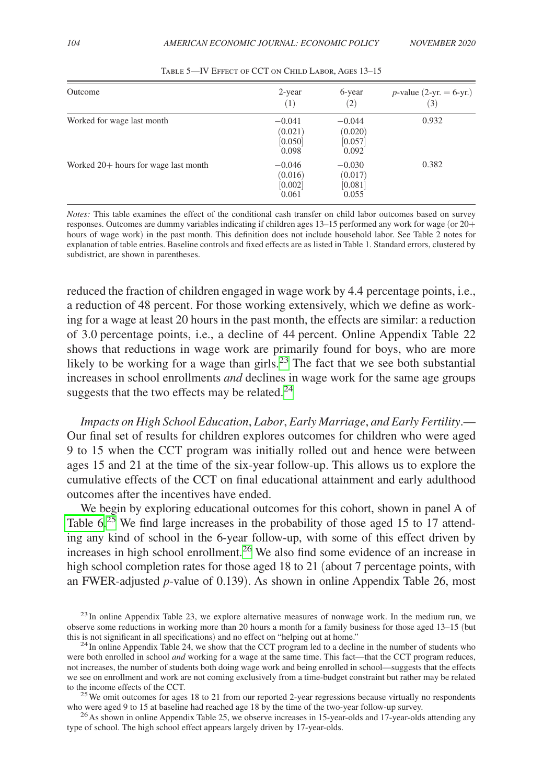<span id="page-16-0"></span>

| Outcome                                | 2-year<br>(1)                           | 6-year<br>(2)                           | <i>p</i> -value (2-yr. = 6-yr.)<br>(3) |
|----------------------------------------|-----------------------------------------|-----------------------------------------|----------------------------------------|
| Worked for wage last month             | $-0.041$<br>(0.021)<br>[0.050]<br>0.098 | $-0.044$<br>(0.020)<br>[0.057]<br>0.092 | 0.932                                  |
| Worked $20+$ hours for wage last month | $-0.046$<br>(0.016)<br>[0.002]<br>0.061 | $-0.030$<br>(0.017)<br>[0.081]<br>0.055 | 0.382                                  |

Table 5—IV Effect of CCT on Child Labor, Ages 13–15

*Notes:* This table examines the effect of the conditional cash transfer on child labor outcomes based on survey responses. Outcomes are dummy variables indicating if children ages 13–15 performed any work for wage (or 20+ hours of wage work) in the past month. This definition does not include household labor. See Table 2 notes for explanation of table entries. Baseline controls and fixed effects are as listed in Table 1. Standard errors, clustered by subdistrict, are shown in parentheses.

reduced the fraction of children engaged in wage work by 4.4 percentage points, i.e., a reduction of 48 percent. For those working extensively, which we define as working for a wage at least 20 hours in the past month, the effects are similar: a reduction of 3.0 percentage points, i.e., a decline of 44 percent. Online Appendix Table 22 shows that reductions in wage work are primarily found for boys, who are more likely to be working for a wage than girls.<sup>23</sup> The fact that we see both substantial increases in school enrollments *and* declines in wage work for the same age groups suggests that the two effects may be related. $^{24}$  $^{24}$  $^{24}$ 

*Impacts on High School Education*, *Labor*, *Early Marriage*, *and Early Fertility*.— Our final set of results for children explores outcomes for children who were aged 9 to 15 when the CCT program was initially rolled out and hence were between ages 15 and 21 at the time of the six-year follow-up. This allows us to explore the cumulative effects of the CCT on final educational attainment and early adulthood outcomes after the incentives have ended.

We begin by exploring educational outcomes for this cohort, shown in panel A of Table  $6<sup>25</sup>$  We find large increases in the probability of those aged 15 to 17 attending any kind of school in the 6-year follow-up, with some of this effect driven by increases in high school enrollment[.26](#page-16-4) We also find some evidence of an increase in high school completion rates for those aged 18 to 21 (about 7 percentage points, with an FWER-adjusted *p*-value of 0.139). As shown in online Appendix Table 26, most

<span id="page-16-1"></span> $^{23}$ In online Appendix Table 23, we explore alternative measures of nonwage work. In the medium run, we observe some reductions in working more than 20 hours a month for a family business for those aged 13–15 (but

<span id="page-16-4"></span> $^{26}$  As shown in online Appendix Table 25, we observe increases in 15-year-olds and 17-year-olds attending any type of school. The high school effect appears largely driven by 17-year-olds.

<span id="page-16-2"></span> $t^2$ In online Appendix Table 24, we show that the CCT program led to a decline in the number of students who were both enrolled in school *and* working for a wage at the same time. This fact—that the CCT program reduces, not increases, the number of students both doing wage work and being enrolled in school—suggests that the effects we see on enrollment and work are not coming exclusively from a time-budget constraint but rather may be related to the income effects of the CCT.

<span id="page-16-3"></span><sup>&</sup>lt;sup>25</sup> We omit outcomes for ages 18 to 21 from our reported 2-year regressions because virtually no respondents who were aged 9 to 15 at baseline had reached age 18 by the time of the two-year follow-up survey.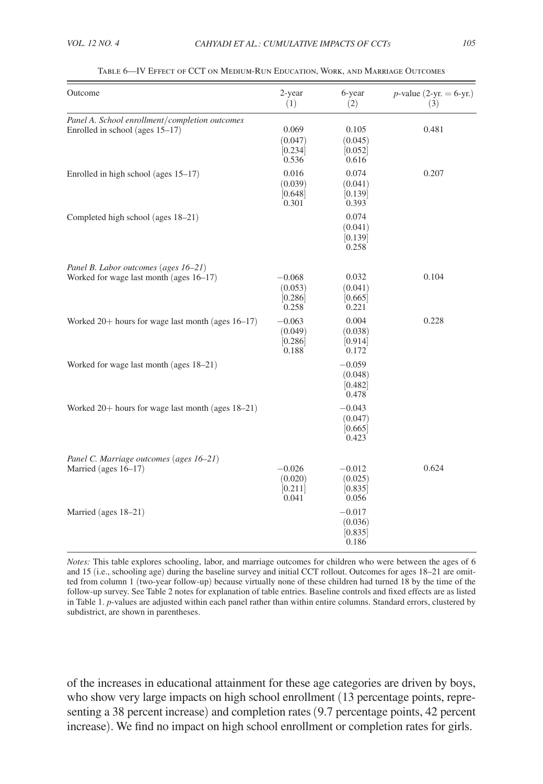<span id="page-17-0"></span>

| Outcome                                                                           | 2-year<br>(1)                           | 6-year<br>(2)                           | <i>p</i> -value (2-yr. = 6-yr.)<br>(3) |
|-----------------------------------------------------------------------------------|-----------------------------------------|-----------------------------------------|----------------------------------------|
| Panel A. School enrollment/completion outcomes<br>Enrolled in school (ages 15–17) | 0.069<br>(0.047)<br>[0.234]<br>0.536    | 0.105<br>(0.045)<br>[0.052]<br>0.616    | 0.481                                  |
| Enrolled in high school (ages 15–17)                                              | 0.016<br>(0.039)<br>[0.648]<br>0.301    | 0.074<br>(0.041)<br>[0.139]<br>0.393    | 0.207                                  |
| Completed high school (ages 18–21)                                                |                                         | 0.074<br>(0.041)<br>[0.139]<br>0.258    |                                        |
| Panel B. Labor outcomes (ages 16-21)<br>Worked for wage last month (ages 16-17)   | $-0.068$<br>(0.053)<br>[0.286]<br>0.258 | 0.032<br>(0.041)<br>[0.665]<br>0.221    | 0.104                                  |
| Worked 20+ hours for wage last month (ages 16-17)                                 | $-0.063$<br>(0.049)<br>[0.286]<br>0.188 | 0.004<br>(0.038)<br>[0.914]<br>0.172    | 0.228                                  |
| Worked for wage last month (ages 18–21)                                           |                                         | $-0.059$<br>(0.048)<br>[0.482]<br>0.478 |                                        |
| Worked $20+$ hours for wage last month (ages $18-21$ )                            |                                         | $-0.043$<br>(0.047)<br>[0.665]<br>0.423 |                                        |
| Panel C. Marriage outcomes (ages 16-21)<br>Married (ages 16-17)                   | $-0.026$<br>(0.020)<br>[0.211]<br>0.041 | $-0.012$<br>(0.025)<br>[0.835]<br>0.056 | 0.624                                  |
| Married (ages 18–21)                                                              |                                         | $-0.017$<br>(0.036)<br>[0.835]<br>0.186 |                                        |

Table 6—IV Effect of CCT on Medium-Run Education, Work, and Marriage Outcomes

*Notes:* This table explores schooling, labor, and marriage outcomes for children who were between the ages of 6 and 15 (i.e., schooling age) during the baseline survey and initial CCT rollout. Outcomes for ages 18–21 are omitted from column 1 (two-year follow-up) because virtually none of these children had turned 18 by the time of the follow-up survey. See Table 2 notes for explanation of table entries. Baseline controls and fixed effects are as listed in Table 1. *p*-values are adjusted within each panel rather than within entire columns. Standard errors, clustered by subdistrict, are shown in parentheses.

of the increases in educational attainment for these age categories are driven by boys, who show very large impacts on high school enrollment (13 percentage points, representing a 38 percent increase) and completion rates (9.7 percentage points, 42 percent increase). We find no impact on high school enrollment or completion rates for girls.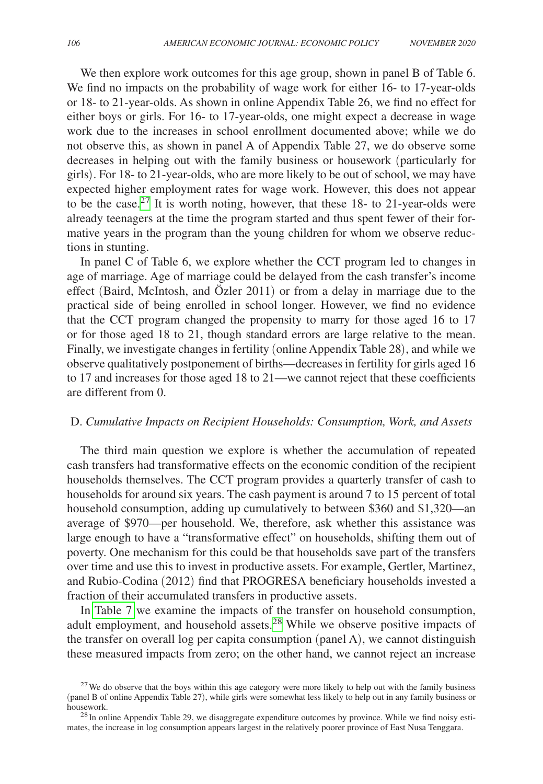We then explore work outcomes for this age group, shown in panel B of Table 6. We find no impacts on the probability of wage work for either 16- to 17-year-olds or 18- to 21-year-olds. As shown in online Appendix Table 26, we find no effect for either boys or girls. For 16- to 17-year-olds, one might expect a decrease in wage work due to the increases in school enrollment documented above; while we do not observe this, as shown in panel A of Appendix Table 27, we do observe some decreases in helping out with the family business or housework (particularly for girls). For 18- to 21-year-olds, who are more likely to be out of school, we may have expected higher employment rates for wage work. However, this does not appear to be the case.[27](#page-18-0) It is worth noting, however, that these 18- to 21-year-olds were already teenagers at the time the program started and thus spent fewer of their formative years in the program than the young children for whom we observe reductions in stunting.

In panel C of Table 6, we explore whether the CCT program led to changes in age of marriage. Age of marriage could be delayed from the cash transfer's income effect (Baird, McIntosh, and Özler 2011) or from a delay in marriage due to the practical side of being enrolled in school longer. However, we find no evidence that the CCT program changed the propensity to marry for those aged 16 to 17 or for those aged 18 to 21, though standard errors are large relative to the mean. Finally, we investigate changes in fertility (online Appendix Table 28), and while we observe qualitatively postponement of births—decreases in fertility for girls aged 16 to 17 and increases for those aged 18 to 21—we cannot reject that these coefficients are different from 0.

# D. *Cumulative Impacts on Recipient Households: Consumption, Work, and Assets*

The third main question we explore is whether the accumulation of repeated cash transfers had transformative effects on the economic condition of the recipient households themselves. The CCT program provides a quarterly transfer of cash to households for around six years. The cash payment is around 7 to 15 percent of total household consumption, adding up cumulatively to between \$360 and \$1,320—an average of \$970—per household. We, therefore, ask whether this assistance was large enough to have a "transformative effect" on households, shifting them out of poverty. One mechanism for this could be that households save part of the transfers over time and use this to invest in productive assets. For example, Gertler, Martinez, and Rubio-Codina (2012) find that PROGRESA beneficiary households invested a fraction of their accumulated transfers in productive assets.

In [Table 7](#page-19-0) we examine the impacts of the transfer on household consumption, adult employment, and household assets.[28](#page-18-1) While we observe positive impacts of the transfer on overall log per capita consumption (panel A), we cannot distinguish these measured impacts from zero; on the other hand, we cannot reject an increase

<span id="page-18-0"></span> $27$  We do observe that the boys within this age category were more likely to help out with the family business (panel B of online Appendix Table 27), while girls were somewhat less likely to help out in any family business or

<span id="page-18-1"></span> $^{28}$ In online Appendix Table 29, we disaggregate expenditure outcomes by province. While we find noisy estimates, the increase in log consumption appears largest in the relatively poorer province of East Nusa Tenggara.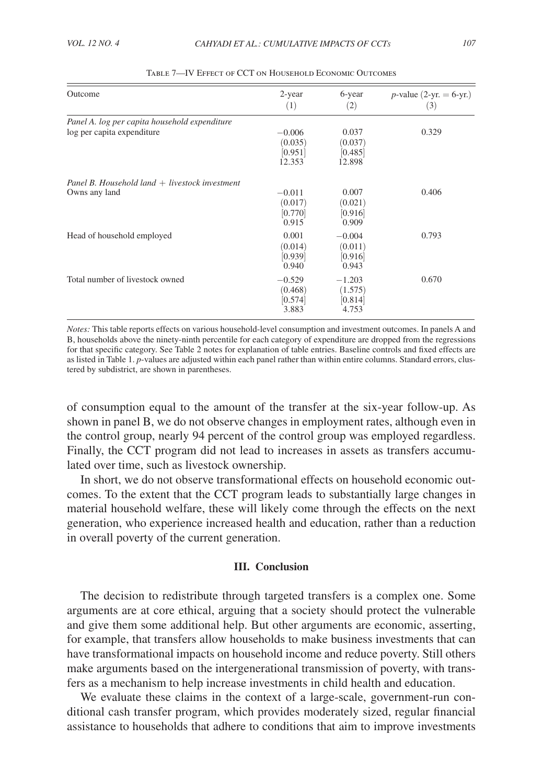<span id="page-19-0"></span>

| Outcome                                          | 2-year<br>(1)                            | 6-year<br>(2)                           | <i>p</i> -value (2-yr. = 6-yr.)<br>(3) |
|--------------------------------------------------|------------------------------------------|-----------------------------------------|----------------------------------------|
| Panel A. log per capita household expenditure    |                                          |                                         |                                        |
| log per capita expenditure                       | $-0.006$<br>(0.035)<br>[0.951]<br>12.353 | 0.037<br>(0.037)<br>[0.485]<br>12.898   | 0.329                                  |
| Panel B. Household land $+$ livestock investment |                                          |                                         |                                        |
| Owns any land                                    | $-0.011$<br>(0.017)<br>[0.770]<br>0.915  | 0.007<br>(0.021)<br>[0.916]<br>0.909    | 0.406                                  |
| Head of household employed                       | 0.001<br>(0.014)<br>[0.939]<br>0.940     | $-0.004$<br>(0.011)<br>[0.916]<br>0.943 | 0.793                                  |
| Total number of livestock owned                  | $-0.529$<br>(0.468)<br>[0.574]<br>3.883  | $-1.203$<br>(1.575)<br>[0.814]<br>4.753 | 0.670                                  |

Table 7—IV Effect of CCT on Household Economic Outcomes

*Notes:* This table reports effects on various household-level consumption and investment outcomes. In panels A and B, households above the ninety-ninth percentile for each category of expenditure are dropped from the regressions for that specific category. See Table 2 notes for explanation of table entries. Baseline controls and fixed effects are as listed in Table 1. *p*-values are adjusted within each panel rather than within entire columns. Standard errors, clustered by subdistrict, are shown in parentheses.

of consumption equal to the amount of the transfer at the six-year follow-up. As shown in panel B, we do not observe changes in employment rates, although even in the control group, nearly 94 percent of the control group was employed regardless. Finally, the CCT program did not lead to increases in assets as transfers accumulated over time, such as livestock ownership.

In short, we do not observe transformational effects on household economic outcomes. To the extent that the CCT program leads to substantially large changes in material household welfare, these will likely come through the effects on the next generation, who experience increased health and education, rather than a reduction in overall poverty of the current generation.

## **III. Conclusion**

The decision to redistribute through targeted transfers is a complex one. Some arguments are at core ethical, arguing that a society should protect the vulnerable and give them some additional help. But other arguments are economic, asserting, for example, that transfers allow households to make business investments that can have transformational impacts on household income and reduce poverty. Still others make arguments based on the intergenerational transmission of poverty, with transfers as a mechanism to help increase investments in child health and education.

We evaluate these claims in the context of a large-scale, government-run conditional cash transfer program, which provides moderately sized, regular financial assistance to households that adhere to conditions that aim to improve investments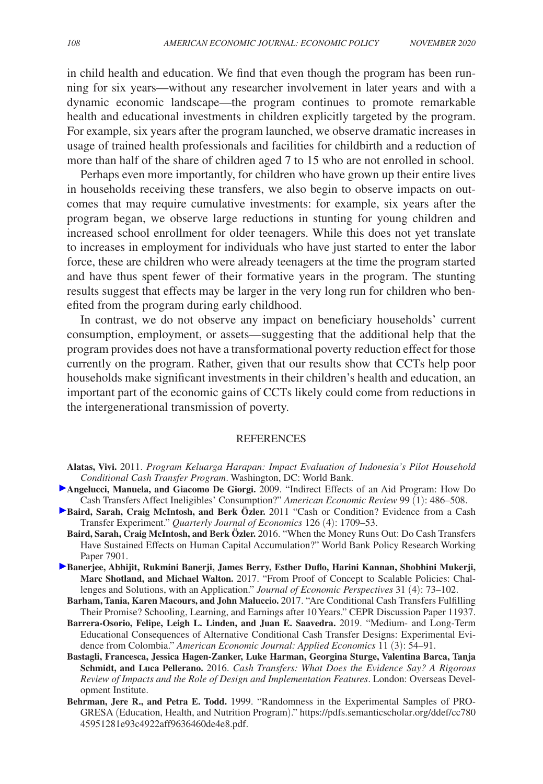in child health and education. We find that even though the program has been running for six years—without any researcher involvement in later years and with a dynamic economic landscape—the program continues to promote remarkable health and educational investments in children explicitly targeted by the program. For example, six years after the program launched, we observe dramatic increases in usage of trained health professionals and facilities for childbirth and a reduction of more than half of the share of children aged 7 to 15 who are not enrolled in school.

Perhaps even more importantly, for children who have grown up their entire lives in households receiving these transfers, we also begin to observe impacts on outcomes that may require cumulative investments: for example, six years after the program began, we observe large reductions in stunting for young children and increased school enrollment for older teenagers. While this does not yet translate to increases in employment for individuals who have just started to enter the labor force, these are children who were already teenagers at the time the program started and have thus spent fewer of their formative years in the program. The stunting results suggest that effects may be larger in the very long run for children who benefited from the program during early childhood.

In contrast, we do not observe any impact on beneficiary households' current consumption, employment, or assets—suggesting that the additional help that the program provides does not have a transformational poverty reduction effect for those currently on the program. Rather, given that our results show that CCTs help poor households make significant investments in their children's health and education, an important part of the economic gains of CCTs likely could come from reductions in the intergenerational transmission of poverty.

#### REFERENCES

**Alatas, Vivi.** 2011. *Program Keluarga Harapan: Impact Evaluation of Indonesia's Pilot Household Conditional Cash Transfer Program*. Washington, DC: World Bank.

- **Angelucci, Manuela, and Giacomo De Giorgi.** 2009. "Indirect Effects of an Aid Program: How Do Cash Transfers Affect Ineligibles' Consumption?" *American Economic Review* 99 (1): 486–508.
- **Baird, Sarah, Craig McIntosh, and Berk Özler.** 2011 "Cash or Condition? Evidence from a Cash Transfer Experiment." *Quarterly Journal of Economics* 126 (4): 1709–53.
	- **Baird, Sarah, Craig McIntosh, and Berk Özler.** 2016. "When the Money Runs Out: Do Cash Transfers Have Sustained Effects on Human Capital Accumulation?" World Bank Policy Research Working Paper 7901.
- **Banerjee, Abhijit, Rukmini Banerji, James Berry, Esther Duflo, Harini Kannan, Shobhini Mukerji, Marc Shotland, and Michael Walton.** 2017. "From Proof of Concept to Scalable Policies: Challenges and Solutions, with an Application." *Journal of Economic Perspectives* 31 (4): 73–102.
	- **Barham, Tania, Karen Macours, and John Maluccio.** 2017. "Are Conditional Cash Transfers Fulfilling Their Promise? Schooling, Learning, and Earnings after 10 Years." CEPR Discussion Paper 11937.
	- **Barrera-Osorio, Felipe, Leigh L. Linden, and Juan E. Saavedra.** 2019. "Medium- and Long-Term Educational Consequences of Alternative Conditional Cash Transfer Designs: Experimental Evidence from Colombia." *American Economic Journal: Applied Economics* 11 (3): 54–91.
	- **Bastagli, Francesca, Jessica Hagen-Zanker, Luke Harman, Georgina Sturge, Valentina Barca, Tanja Schmidt, and Luca Pellerano.** 2016. *Cash Transfers: What Does the Evidence Say? A Rigorous Review of Impacts and the Role of Design and Implementation Features*. London: Overseas Development Institute.
	- **Behrman, Jere R., and Petra E. Todd.** 1999. "Randomness in the Experimental Samples of PRO-GRESA (Education, Health, and Nutrition Program)." [https://pdfs.semanticscholar.org/ddef/cc780](https://pdfs.semanticscholar.org/ddef/cc78045951281e93c4922aff9636460de4e8.pdf) [45951281e93c4922aff9636460de4e8.pdf.](https://pdfs.semanticscholar.org/ddef/cc78045951281e93c4922aff9636460de4e8.pdf)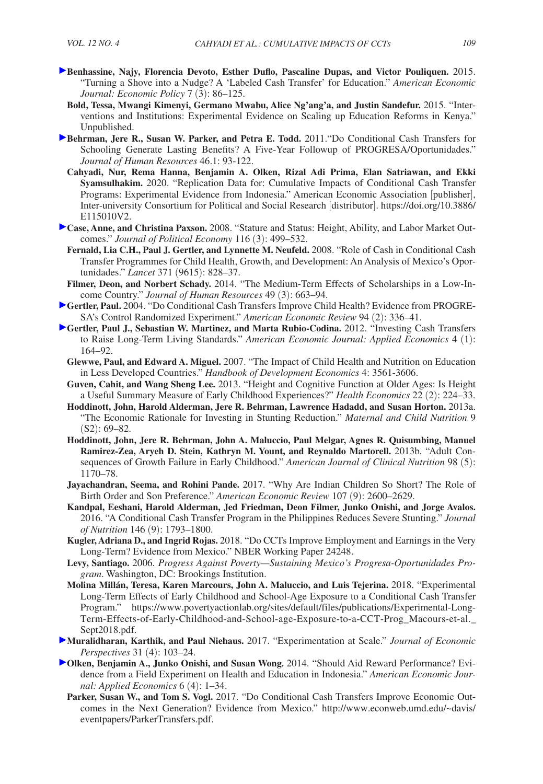- **Benhassine, Najy, Florencia Devoto, Esther Duflo, Pascaline Dupas, and Victor Pouliquen.** 2015. "Turning a Shove into a Nudge? A 'Labeled Cash Transfer' for Education." *American Economic Journal: Economic Policy* 7 (3): 86–125.
	- **Bold, Tessa, Mwangi Kimenyi, Germano Mwabu, Alice Ng'ang'a, and Justin Sandefur.** 2015. "Interventions and Institutions: Experimental Evidence on Scaling up Education Reforms in Kenya." Unpublished.
- **Behrman, Jere R., Susan W. Parker, and Petra E. Todd.** 2011."Do Conditional Cash Transfers for Schooling Generate Lasting Benefits? A Five-Year Followup of PROGRESA/Oportunidades." *Journal of Human Resources* 46.1: 93-122.
	- **Cahyadi, Nur, Rema Hanna, Benjamin A. Olken, Rizal Adi Prima, Elan Satriawan, and Ekki Syamsulhakim.** 2020. "Replication Data for: Cumulative Impacts of Conditional Cash Transfer Programs: Experimental Evidence from Indonesia." American Economic Association [publisher], Inter-university Consortium for Political and Social Research [distributor]. [https://doi.org/10.3886/](https://doi.org/10.3886/E115010V2) [E115010V2.](https://doi.org/10.3886/E115010V2)
- **Case, Anne, and Christina Paxson.** 2008. "Stature and Status: Height, Ability, and Labor Market Outcomes." *Journal of Political Economy* 116 (3): 499–532.
	- **Fernald, Lia C.H., Paul J. Gertler, and Lynnette M. Neufeld.** 2008. "Role of Cash in Conditional Cash Transfer Programmes for Child Health, Growth, and Development: An Analysis of Mexico's Oportunidades." *Lancet* 371 (9615): 828–37.
- **Filmer, Deon, and Norbert Schady.** 2014. "The Medium-Term Effects of Scholarships in a Low-Income Country." *Journal of Human Resources* 49 (3): 663–94.
- **Gertler, Paul.** 2004. "Do Conditional Cash Transfers Improve Child Health? Evidence from PROGRE-SA's Control Randomized Experiment." *American Economic Review* 94 (2): 336–41.
- **Gertler, Paul J., Sebastian W. Martinez, and Marta Rubio-Codina.** 2012. "Investing Cash Transfers to Raise Long-Term Living Standards." *American Economic Journal: Applied Economics* 4 (1): 164–92.
	- **Glewwe, Paul, and Edward A. Miguel.** 2007. "The Impact of Child Health and Nutrition on Education in Less Developed Countries." *Handbook of Development Economics* 4: 3561-3606.
	- **Guven, Cahit, and Wang Sheng Lee.** 2013. "Height and Cognitive Function at Older Ages: Is Height a Useful Summary Measure of Early Childhood Experiences?" *Health Economics* 22 (2): 224–33.
	- **Hoddinott, John, Harold Alderman, Jere R. Behrman, Lawrence Hadadd, and Susan Horton.** 2013a. "The Economic Rationale for Investing in Stunting Reduction." *Maternal and Child Nutrition* 9 (S2): 69–82.
	- **Hoddinott, John, Jere R. Behrman, John A. Maluccio, Paul Melgar, Agnes R. Quisumbing, Manuel Ramirez-Zea, Aryeh D. Stein, Kathryn M. Yount, and Reynaldo Martorell.** 2013b. "Adult Consequences of Growth Failure in Early Childhood." *American Journal of Clinical Nutrition* 98 (5): 1170–78.
	- **Jayachandran, Seema, and Rohini Pande.** 2017. "Why Are Indian Children So Short? The Role of Birth Order and Son Preference." *American Economic Review* 107 (9): 2600–2629.
	- **Kandpal, Eeshani, Harold Alderman, Jed Friedman, Deon Filmer, Junko Onishi, and Jorge Avalos.** 2016. "A Conditional Cash Transfer Program in the Philippines Reduces Severe Stunting." *Journal of Nutrition* 146 (9): 1793–1800.
	- **Kugler, Adriana D., and Ingrid Rojas.** 2018. "Do CCTs Improve Employment and Earnings in the Very Long-Term? Evidence from Mexico." NBER Working Paper 24248.
	- **Levy, Santiago.** 2006. *Progress Against Poverty—Sustaining Mexico's Progresa-Oportunidades Program*. Washington, DC: Brookings Institution.
	- **Molina Millán, Teresa, Karen Marcours, John A. Maluccio, and Luis Tejerina.** 2018. "Experimental Long-Term Effects of Early Childhood and School-Age Exposure to a Conditional Cash Transfer Program." https://www.povertyactionlab.org/sites/default/files/publications/Experimental-Long-[Term-Effects-of-Early-Childhood-and-School-age-Exposure-to-a-CCT-Prog\\_Macours-et-al.\\_](https://www.povertyactionlab.org/sites/default/files/publications/Experimental-Long-Term-Effects-of-Early-Childhood-and-School-age-Exposure-to-a-CCT-Prog_Macours-et-al._Sept2018.pdf) Sept2018.pdf.
- **Muralidharan, Karthik, and Paul Niehaus.** 2017. "Experimentation at Scale." *Journal of Economic Perspectives* 31 (4): 103–24.
- **Olken, Benjamin A., Junko Onishi, and Susan Wong.** 2014. "Should Aid Reward Performance? Evidence from a Field Experiment on Health and Education in Indonesia." *American Economic Journal: Applied Economics* 6 (4): 1–34.
	- **Parker, Susan W., and Tom S. Vogl.** 2017. "Do Conditional Cash Transfers Improve Economic Outcomes in the Next Generation? Evidence from Mexico." [http://www.econweb.umd.edu/~davis/](http://www.econweb.umd.edu/~davis/eventpapers/ParkerTransfers.pdf) [eventpapers/ParkerTransfers.pdf.](http://www.econweb.umd.edu/~davis/eventpapers/ParkerTransfers.pdf)